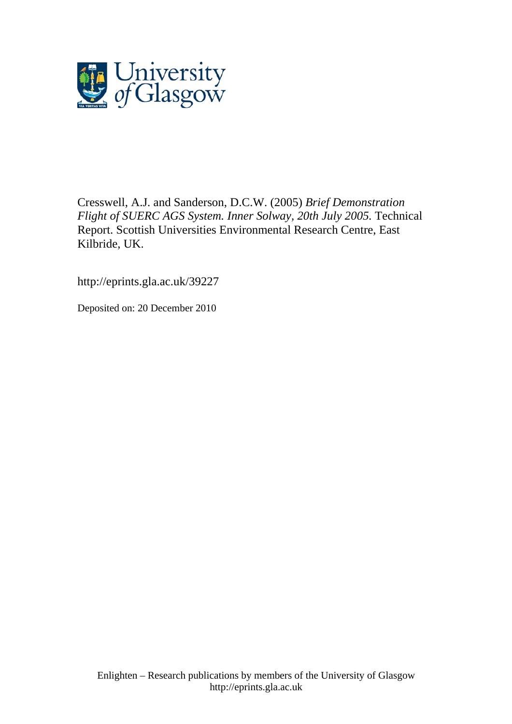

Cresswell, A.J. and Sanderson, D.C.W. (2005) *Brief Demonstration Flight of SUERC AGS System. Inner Solway, 20th July 2005.* Technical Report. Scottish Universities Environmental Research Centre, East Kilbride, UK.

http://eprints.gla.ac.uk/39227

Deposited on: 20 December 2010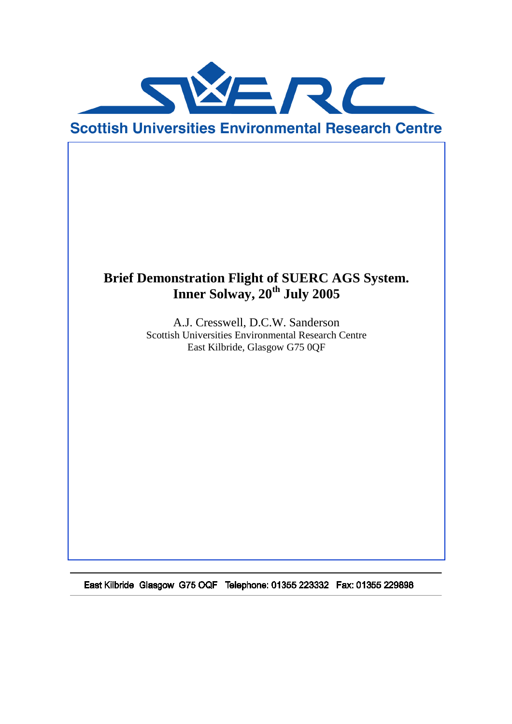

# **Brief Demonstration Flight of SUERC AGS System. Inner Solway, 20th July 2005**

A.J. Cresswell, D.C.W. Sanderson Scottish Universities Environmental Research Centre East Kilbride, Glasgow G75 0QF

East Kilbride Glasgow G75 OQF Telephone: 01355 223332 Fax: 01355 229898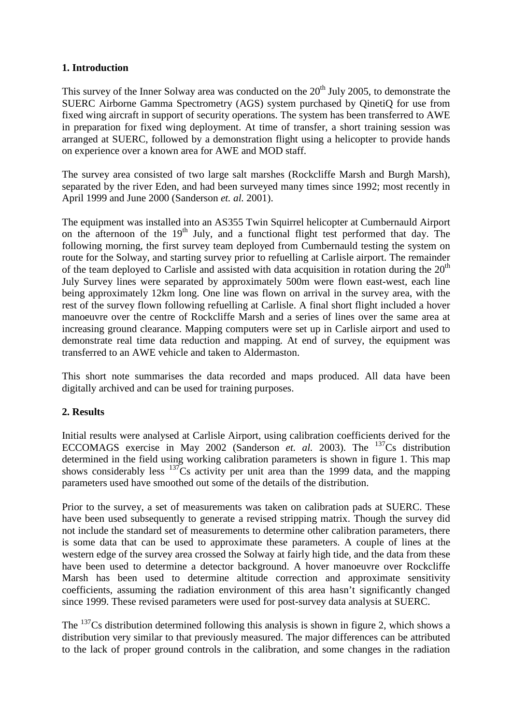### **1. Introduction**

This survey of the Inner Solway area was conducted on the  $20<sup>th</sup>$  July 2005, to demonstrate the SUERC Airborne Gamma Spectrometry (AGS) system purchased by QinetiQ for use from fixed wing aircraft in support of security operations. The system has been transferred to AWE in preparation for fixed wing deployment. At time of transfer, a short training session was arranged at SUERC, followed by a demonstration flight using a helicopter to provide hands on experience over a known area for AWE and MOD staff.

The survey area consisted of two large salt marshes (Rockcliffe Marsh and Burgh Marsh), separated by the river Eden, and had been surveyed many times since 1992; most recently in April 1999 and June 2000 (Sanderson *et. al.* 2001).

The equipment was installed into an AS355 Twin Squirrel helicopter at Cumbernauld Airport on the afternoon of the  $19<sup>th</sup>$  July, and a functional flight test performed that day. The following morning, the first survey team deployed from Cumbernauld testing the system on route for the Solway, and starting survey prior to refuelling at Carlisle airport. The remainder of the team deployed to Carlisle and assisted with data acquisition in rotation during the  $20<sup>th</sup>$ July Survey lines were separated by approximately 500m were flown east-west, each line being approximately 12km long. One line was flown on arrival in the survey area, with the rest of the survey flown following refuelling at Carlisle. A final short flight included a hover manoeuvre over the centre of Rockcliffe Marsh and a series of lines over the same area at increasing ground clearance. Mapping computers were set up in Carlisle airport and used to demonstrate real time data reduction and mapping. At end of survey, the equipment was transferred to an AWE vehicle and taken to Aldermaston.

This short note summarises the data recorded and maps produced. All data have been digitally archived and can be used for training purposes.

### **2. Results**

Initial results were analysed at Carlisle Airport, using calibration coefficients derived for the ECCOMAGS exercise in May 2002 (Sanderson *et. al.* 2003). The <sup>137</sup>Cs distribution determined in the field using working calibration parameters is shown in figure 1. This map shows considerably less  $137\text{Cs}$  activity per unit area than the 1999 data, and the mapping parameters used have smoothed out some of the details of the distribution.

Prior to the survey, a set of measurements was taken on calibration pads at SUERC. These have been used subsequently to generate a revised stripping matrix. Though the survey did not include the standard set of measurements to determine other calibration parameters, there is some data that can be used to approximate these parameters. A couple of lines at the western edge of the survey area crossed the Solway at fairly high tide, and the data from these have been used to determine a detector background. A hover manoeuvre over Rockcliffe Marsh has been used to determine altitude correction and approximate sensitivity coefficients, assuming the radiation environment of this area hasn't significantly changed since 1999. These revised parameters were used for post-survey data analysis at SUERC.

The  $137$ Cs distribution determined following this analysis is shown in figure 2, which shows a distribution very similar to that previously measured. The major differences can be attributed to the lack of proper ground controls in the calibration, and some changes in the radiation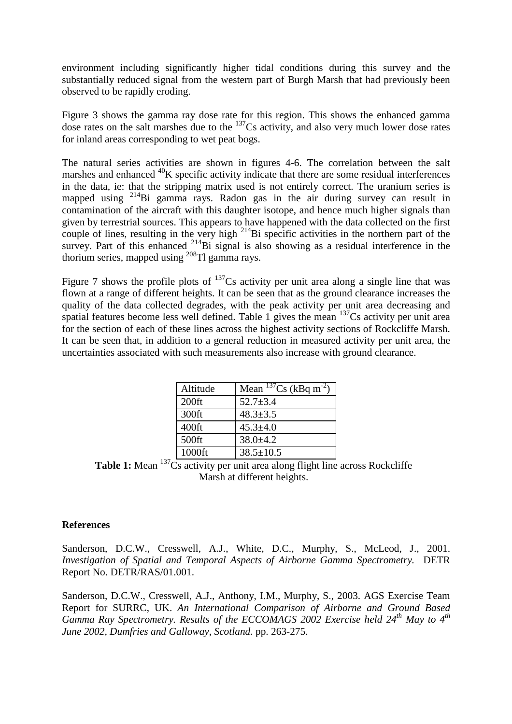environment including significantly higher tidal conditions during this survey and the substantially reduced signal from the western part of Burgh Marsh that had previously been observed to be rapidly eroding.

Figure 3 shows the gamma ray dose rate for this region. This shows the enhanced gamma dose rates on the salt marshes due to the  $^{137}Cs$  activity, and also very much lower dose rates for inland areas corresponding to wet peat bogs.

The natural series activities are shown in figures 4-6. The correlation between the salt marshes and enhanced  $^{40}$ K specific activity indicate that there are some residual interferences in the data, ie: that the stripping matrix used is not entirely correct. The uranium series is mapped using <sup>214</sup>Bi gamma rays. Radon gas in the air during survey can result in contamination of the aircraft with this daughter isotope, and hence much higher signals than given by terrestrial sources. This appears to have happened with the data collected on the first couple of lines, resulting in the very high  $^{214}$ Bi specific activities in the northern part of the survey. Part of this enhanced <sup>214</sup>Bi signal is also showing as a residual interference in the thorium series, mapped using  $^{208}$ Tl gamma rays.

Figure 7 shows the profile plots of  $^{137}Cs$  activity per unit area along a single line that was flown at a range of different heights. It can be seen that as the ground clearance increases the quality of the data collected degrades, with the peak activity per unit area decreasing and spatial features become less well defined. Table 1 gives the mean  $137$ Cs activity per unit area for the section of each of these lines across the highest activity sections of Rockcliffe Marsh. It can be seen that, in addition to a general reduction in measured activity per unit area, the uncertainties associated with such measurements also increase with ground clearance.

| Altitude | Mean $^{137}Cs$ (kBq m <sup>-2</sup> ) |
|----------|----------------------------------------|
| $200$ ft | $52.7 \pm 3.4$                         |
| 300ft    | $48.3 \pm 3.5$                         |
| $400$ ft | $45.3 \pm 4.0$                         |
| 500ft    | $38.0 \pm 4.2$                         |
| 1000ft   | $38.5 \pm 10.5$                        |

**Table 1:** Mean <sup>137</sup>Cs activity per unit area along flight line across Rockcliffe Marsh at different heights.

#### **References**

Sanderson, D.C.W., Cresswell, A.J., White, D.C., Murphy, S., McLeod, J., 2001. *Investigation of Spatial and Temporal Aspects of Airborne Gamma Spectrometry.* DETR Report No. DETR/RAS/01.001.

Sanderson, D.C.W., Cresswell, A.J., Anthony, I.M., Murphy, S., 2003. AGS Exercise Team Report for SURRC, UK. *An International Comparison of Airborne and Ground Based Gamma Ray Spectrometry. Results of the ECCOMAGS 2002 Exercise held 24th May to 4th June 2002, Dumfries and Galloway, Scotland.* pp. 263-275.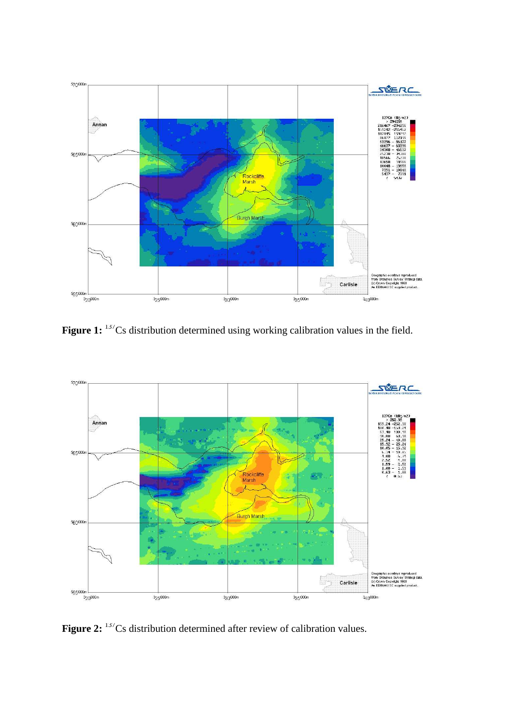

Figure 1: <sup>137</sup>Cs distribution determined using working calibration values in the field.



**Figure 2:** <sup>137</sup>Cs distribution determined after review of calibration values.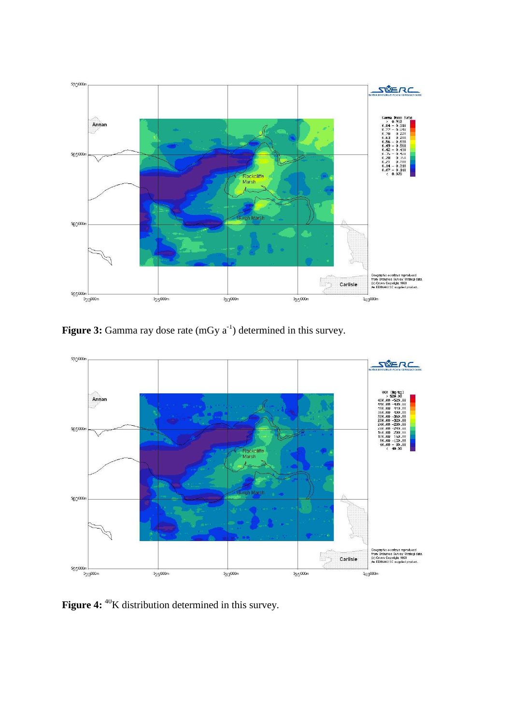

**Figure 3:** Gamma ray dose rate (mGy a<sup>-1</sup>) determined in this survey.



Figure 4: <sup>40</sup>K distribution determined in this survey.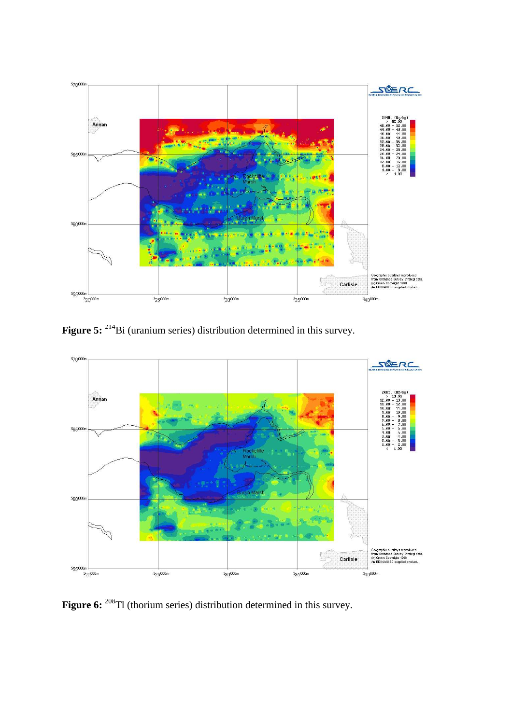

Figure 5: <sup>214</sup>Bi (uranium series) distribution determined in this survey.



**Figure 6:** <sup>208</sup>Tl (thorium series) distribution determined in this survey.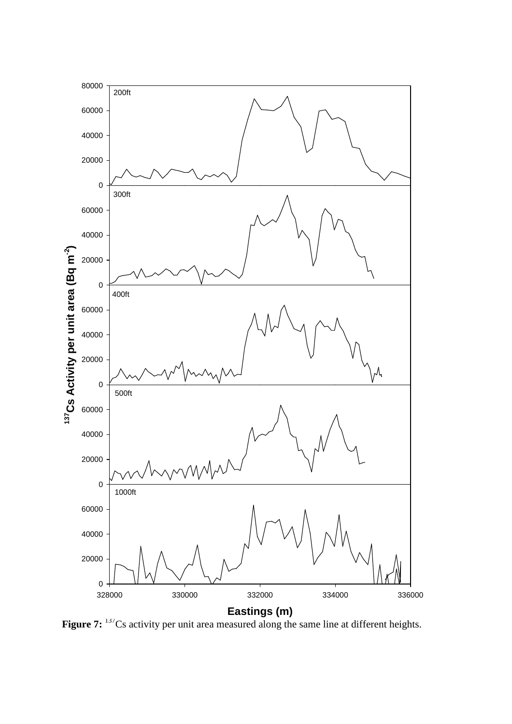

**Figure 7:** <sup>137</sup>Cs activity per unit area measured along the same line at different heights.